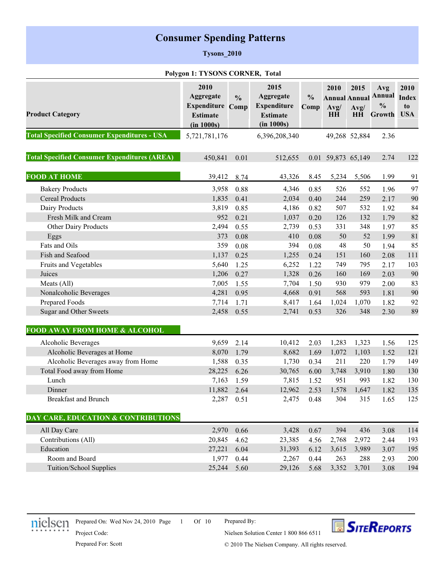# **Consumer Spending Patterns**

### **Tysons\_2010**

#### **Polygon 1: TYSONS CORNER, Total**

|                                                     | 2010                    |               | 2015               |               | 2010                 | 2015          | Avg                 | 2010       |
|-----------------------------------------------------|-------------------------|---------------|--------------------|---------------|----------------------|---------------|---------------------|------------|
|                                                     | Aggregate               | $\frac{0}{0}$ | Aggregate          | $\frac{0}{0}$ | <b>Annual Annual</b> |               | <b>Annual</b> Index |            |
|                                                     | <b>Expenditure Comp</b> |               | <b>Expenditure</b> | Comp          | Avg/                 | Avg/          | $\frac{0}{0}$       | to         |
| <b>Product Category</b>                             | <b>Estimate</b>         |               | <b>Estimate</b>    |               | HH                   | HH            | Growth              | <b>USA</b> |
|                                                     | (in 1000s)              |               | (in 1000s)         |               |                      |               |                     |            |
| <b>Total Specified Consumer Expenditures - USA</b>  | 5,721,781,176           |               | 6,396,208,340      |               |                      | 49,268 52,884 | 2.36                |            |
| <b>Total Specified Consumer Expenditures (AREA)</b> | 450,841                 | 0.01          | 512,655            |               | 0.01 59,873 65,149   |               | 2.74                | 122        |
| <b>FOOD AT HOME</b>                                 | 39,412                  | 8.74          | 43,326             | 8.45          | 5,234                | 5,506         | 1.99                | 91         |
| <b>Bakery Products</b>                              | 3,958                   | 0.88          | 4,346              | 0.85          | 526                  | 552           | 1.96                | 97         |
| <b>Cereal Products</b>                              | 1,835                   | 0.41          | 2,034              | 0.40          | 244                  | 259           | 2.17                | 90         |
| Dairy Products                                      | 3,819                   | 0.85          | 4,186              | 0.82          | 507                  | 532           | 1.92                | 84         |
| Fresh Milk and Cream                                | 952                     | 0.21          | 1,037              | 0.20          | 126                  | 132           | 1.79                | 82         |
| Other Dairy Products                                | 2,494                   | 0.55          | 2,739              | 0.53          | 331                  | 348           | 1.97                | 85         |
| Eggs                                                | 373                     | 0.08          | 410                | 0.08          | 50                   | 52            | 1.99                | 81         |
| Fats and Oils                                       | 359                     | 0.08          | 394                | 0.08          | 48                   | 50            | 1.94                | 85         |
| Fish and Seafood                                    | 1,137                   | 0.25          | 1,255              | 0.24          | 151                  | 160           | 2.08                | 111        |
| Fruits and Vegetables                               | 5,640                   | 1.25          | 6,252              | 1.22          | 749                  | 795           | 2.17                | 103        |
| Juices                                              | 1,206                   | 0.27          | 1,328              | 0.26          | 160                  | 169           | 2.03                | 90         |
| Meats (All)                                         | 7,005                   | 1.55          | 7,704              | 1.50          | 930                  | 979           | 2.00                | 83         |
| Nonalcoholic Beverages                              | 4,281                   | 0.95          | 4,668              | 0.91          | 568                  | 593           | 1.81                | 90         |
| Prepared Foods                                      | 7,714                   | 1.71          | 8,417              | 1.64          | 1,024                | 1,070         | 1.82                | 92         |
| Sugar and Other Sweets                              | 2,458                   | 0.55          | 2,741              | 0.53          | 326                  | 348           | 2.30                | 89         |
| <b>FOOD AWAY FROM HOME &amp; ALCOHOL</b>            |                         |               |                    |               |                      |               |                     |            |
| Alcoholic Beverages                                 | 9,659                   | 2.14          | 10,412             | 2.03          | 1,283                | 1,323         | 1.56                | 125        |
| Alcoholic Beverages at Home                         | 8,070                   | 1.79          | 8,682              | 1.69          | 1,072                | 1,103         | 1.52                | 121        |
| Alcoholic Beverages away from Home                  | 1,588                   | 0.35          | 1,730              | 0.34          | 211                  | 220           | 1.79                | 149        |
| Total Food away from Home                           | 28,225                  | 6.26          | 30,765             | 6.00          | 3,748                | 3,910         | 1.80                | 130        |
| Lunch                                               | 7,163                   | 1.59          | 7,815              | 1.52          | 951                  | 993           | 1.82                | 130        |
| Dinner                                              | 11,882                  | 2.64          | 12,962             | 2.53          | 1,578                | 1,647         | 1.82                | 135        |
| <b>Breakfast and Brunch</b>                         | 2,287                   | 0.51          | 2,475              | 0.48          | 304                  | 315           | 1.65                | 125        |
| <b>DAY CARE, EDUCATION &amp; CONTRIBUTIONS</b>      |                         |               |                    |               |                      |               |                     |            |
| All Day Care                                        | 2,970                   | 0.66          | 3,428              | 0.67          | 394                  | 436           | 3.08                | 114        |
| Contributions (All)                                 | 20,845                  | 4.62          | 23,385             | 4.56          | 2,768                | 2,972         | 2.44                | 193        |
| Education                                           | 27,221                  | 6.04          | 31,393             | 6.12          | 3,615                | 3,989         | 3.07                | 195        |
| Room and Board                                      | 1,977                   | 0.44          | 2,267              | 0.44          | 263                  | 288           | 2.93                | 200        |
| Tuition/School Supplies                             | 25,244                  | 5.60          | 29,126             | 5.68          | 3,352                | 3,701         | 3.08                | 194        |
|                                                     |                         |               |                    |               |                      |               |                     |            |



Prepared On: Wed Nov 24, 2010 Page 1 Of 10

Prepared By:



Prepared For: Scott

Project Code:

© 2010 The Nielsen Company. All rights reserved.

Nielsen Solution Center 1 800 866 6511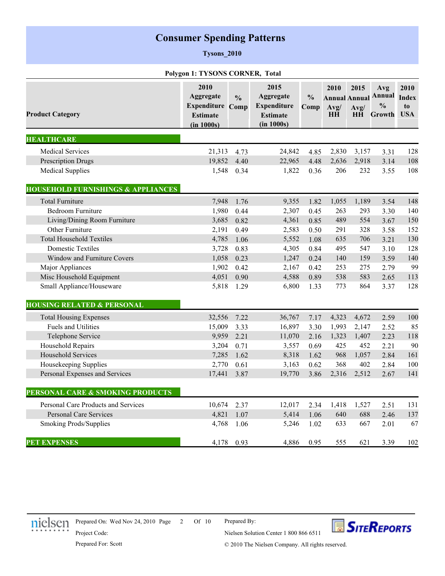# **Consumer Spending Patterns**

### **Tysons\_2010**

#### **Polygon 1: TYSONS CORNER, Total**

| <b>Product Category</b>                       | 2010<br>Aggregate<br><b>Expenditure Comp</b><br><b>Estimate</b><br>(in 1000s) | $\frac{0}{0}$ | 2015<br><b>Aggregate</b><br><b>Expenditure</b><br><b>Estimate</b><br>(in 1000s) | $\frac{0}{0}$<br>Comp | 2010<br><b>Annual Annual</b><br>Avg/<br><b>HH</b> | 2015<br>Avg/<br><b>HH</b> | Avg<br>Annual Index<br>$\frac{0}{0}$<br>Growth | 2010<br>to<br><b>USA</b> |
|-----------------------------------------------|-------------------------------------------------------------------------------|---------------|---------------------------------------------------------------------------------|-----------------------|---------------------------------------------------|---------------------------|------------------------------------------------|--------------------------|
| <b>HEALTHCARE</b>                             |                                                                               |               |                                                                                 |                       |                                                   |                           |                                                |                          |
| <b>Medical Services</b>                       | 21,313                                                                        | 4.73          | 24,842                                                                          | 4.85                  | 2,830                                             | 3,157                     | 3.31                                           | 128                      |
| Prescription Drugs                            | 19,852                                                                        | 4.40          | 22,965                                                                          | 4.48                  | 2,636                                             | 2,918                     | 3.14                                           | 108                      |
| <b>Medical Supplies</b>                       | 1,548                                                                         | 0.34          | 1,822                                                                           | 0.36                  | 206                                               | 232                       | 3.55                                           | 108                      |
| <b>HOUSEHOLD FURNISHINGS &amp; APPLIANCES</b> |                                                                               |               |                                                                                 |                       |                                                   |                           |                                                |                          |
| <b>Total Furniture</b>                        | 7,948                                                                         | 1.76          | 9,355                                                                           | 1.82                  | 1,055                                             | 1,189                     | 3.54                                           | 148                      |
| <b>Bedroom Furniture</b>                      | 1,980                                                                         | 0.44          | 2,307                                                                           | 0.45                  | 263                                               | 293                       | 3.30                                           | 140                      |
| Living/Dining Room Furniture                  | 3,685                                                                         | 0.82          | 4,361                                                                           | 0.85                  | 489                                               | 554                       | 3.67                                           | 150                      |
| Other Furniture                               | 2,191                                                                         | 0.49          | 2,583                                                                           | 0.50                  | 291                                               | 328                       | 3.58                                           | 152                      |
| <b>Total Household Textiles</b>               | 4,785                                                                         | 1.06          | 5,552                                                                           | 1.08                  | 635                                               | 706                       | 3.21                                           | 130                      |
| <b>Domestic Textiles</b>                      | 3,728                                                                         | 0.83          | 4,305                                                                           | 0.84                  | 495                                               | 547                       | 3.10                                           | 128                      |
| Window and Furniture Covers                   | 1,058                                                                         | 0.23          | 1,247                                                                           | 0.24                  | 140                                               | 159                       | 3.59                                           | 140                      |
| Major Appliances                              | 1,902                                                                         | 0.42          | 2,167                                                                           | 0.42                  | 253                                               | 275                       | 2.79                                           | 99                       |
| Misc Household Equipment                      | 4,051                                                                         | 0.90          | 4,588                                                                           | 0.89                  | 538                                               | 583                       | 2.65                                           | 113                      |
| Small Appliance/Houseware                     | 5,818                                                                         | 1.29          | 6,800                                                                           | 1.33                  | 773                                               | 864                       | 3.37                                           | 128                      |
| <b>HOUSING RELATED &amp; PERSONAL</b>         |                                                                               |               |                                                                                 |                       |                                                   |                           |                                                |                          |
| <b>Total Housing Expenses</b>                 | 32,556                                                                        | 7.22          | 36,767                                                                          | 7.17                  | 4,323                                             | 4,672                     | 2.59                                           | 100                      |
| <b>Fuels and Utilities</b>                    | 15,009                                                                        | 3.33          | 16,897                                                                          | 3.30                  | 1,993                                             | 2,147                     | 2.52                                           | 85                       |
| Telephone Service                             | 9,959                                                                         | 2.21          | 11,070                                                                          | 2.16                  | 1,323                                             | 1,407                     | 2.23                                           | 118                      |
| Household Repairs                             | 3,204                                                                         | 0.71          | 3,557                                                                           | 0.69                  | 425                                               | 452                       | 2.21                                           | 90                       |
| <b>Household Services</b>                     | 7,285                                                                         | 1.62          | 8,318                                                                           | 1.62                  | 968                                               | 1,057                     | 2.84                                           | 161                      |
| Housekeeping Supplies                         | 2,770                                                                         | 0.61          | 3,163                                                                           | 0.62                  | 368                                               | 402                       | 2.84                                           | 100                      |
| Personal Expenses and Services                | 17,441                                                                        | 3.87          | 19,770                                                                          | 3.86                  | 2,316                                             | 2,512                     | 2.67                                           | 141                      |
| PERSONAL CARE & SMOKING PRODUCTS              |                                                                               |               |                                                                                 |                       |                                                   |                           |                                                |                          |
| <b>Personal Care Products and Services</b>    | 10,674                                                                        | 2.37          | 12,017                                                                          | 2.34                  | 1,418                                             | 1,527                     | 2.51                                           | 131                      |
| <b>Personal Care Services</b>                 | 4,821                                                                         | 1.07          | 5,414                                                                           | 1.06                  | 640                                               | 688                       | 2.46                                           | 137                      |
| Smoking Prods/Supplies                        | 4,768                                                                         | 1.06          | 5,246                                                                           | 1.02                  | 633                                               | 667                       | 2.01                                           | 67                       |
| <b>PET EXPENSES</b>                           | 4,178                                                                         | 0.93          | 4,886                                                                           | 0.95                  | 555                                               | 621                       | 3.39                                           | 102                      |



Prepared On: Wed Nov 24, 2010 Page 2 Of 10

Prepared By:



Prepared For: Scott

Project Code:

© 2010 The Nielsen Company. All rights reserved.

Nielsen Solution Center 1 800 866 6511